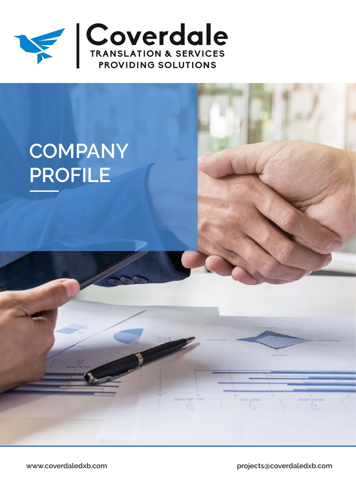

# **COMPANY PROFILE**

**www.coverdaledxb.com projects@coverdaledxb.com**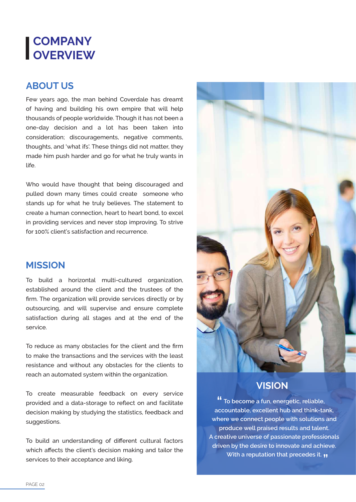# **COMPANY OVERVIEW**

#### **ABOUT US**

Few years ago, the man behind Coverdale has dreamt of having and building his own empire that will help thousands of people worldwide. Though it has not been a one-day decision and a lot has been taken into consideration; discouragements, negative comments, thoughts, and 'what ifs'. These things did not matter, they made him push harder and go for what he truly wants in life.

Who would have thought that being discouraged and pulled down many times could create someone who stands up for what he truly believes. The statement to create a human connection, heart to heart bond, to excel in providing services and never stop improving. To strive for 100% client's satisfaction and recurrence.

#### **MISSION**

To build a horizontal multi-cultured organization, established around the client and the trustees of the firm. The organization will provide services directly or by outsourcing, and will supervise and ensure complete satisfaction during all stages and at the end of the service.

To reduce as many obstacles for the client and the firm to make the transactions and the services with the least resistance and without any obstacles for the clients to reach an automated system within the organization.

To create measurable feedback on every service provided and a data-storage to reflect on and facilitate decision making by studying the statistics, feedback and suggestions.

To build an understanding of different cultural factors which affects the client's decision making and tailor the services to their acceptance and liking.



#### **VISION**

**To become a fun, energetic, reliable, " accountable, excellent hub and think-tank, where we connect people with solutions and produce well praised results and talent. A creative universe of passionate professionals driven by the desire to innovate and achieve. With a reputation that precedes it. "**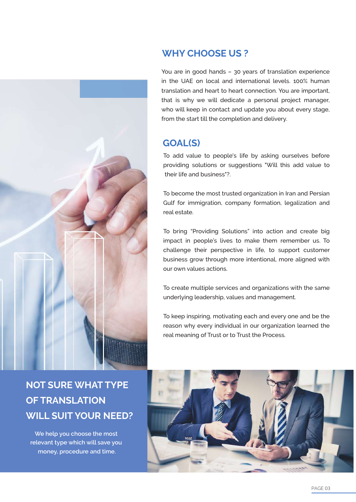

#### **WHY CHOOSE US ?**

You are in good hands – 30 years of translation experience in the UAE on local and international levels. 100% human translation and heart to heart connection. You are important, that is why we will dedicate a personal project manager, who will keep in contact and update you about every stage, from the start till the completion and delivery.

#### **GOAL(S)**

To add value to people's life by asking ourselves before providing solutions or suggestions "Will this add value to their life and business"?.

To become the most trusted organization in Iran and Persian Gulf for immigration, company formation, legalization and real estate.

To bring "Providing Solutions" into action and create big impact in people's lives to make them remember us. To challenge their perspective in life, to support customer business grow through more intentional, more aligned with our own values actions.

To create multiple services and organizations with the same underlying leadership, values and management.

To keep inspiring, motivating each and every one and be the reason why every individual in our organization learned the real meaning of Trust or to Trust the Process.

# **NOT SURE WHAT TYPE OF TRANSLATION WILL SUIT YOUR NEED?**

**We help you choose the most relevant type which will save you money, procedure and time.**

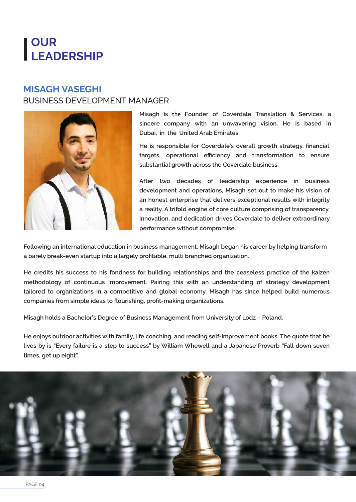# **OUR LEADERSHIP**

#### **MISAGH VASEGHI** BUSINESS DEVELOPMENT MANAGER



**Misagh is** the **Founder of Coverdale Translation & Services, a sincere company with an unwavering vision. He is based in Dubai, in the United Arab Emirates.** 

**He is responsible for Coverdale's overall growth strategy, financial targets, operational efficiency and transformation to ensure substantial growth across the Coverdale business.**

**After two decades of leadership experience in business development and operations, Misagh set out to make his vision of an honest enterprise that delivers exceptional results with integrity a reality. A trifold engine of core culture comprising of transparency, innovation, and dedication drives Coverdale to deliver extraordinary performance without compromise.** 

**Following an international education in business management, Misagh began his career by helping transform a barely break-even startup into a largely profitable, multi branched organization.** 

**He credits his success to his fondness for building relationships and the ceaseless practice of the kaizen methodology of continuous improvement. Pairing this with an understanding of strategy development tailored to organizations in a competitive and global economy, Misagh has since helped build numerous companies from simple ideas to flourishing, profit-making organizations.**

**Misagh holds a Bachelor's Degree of Business Management from University of Lodz – Poland.**

**He enjoys outdoor activities with family, life coaching, and reading self-improvement books. The quote that he lives by is "Every failure is a step to success" by William Whewell and a Japanese Proverb "Fall down seven times, get up eight".**

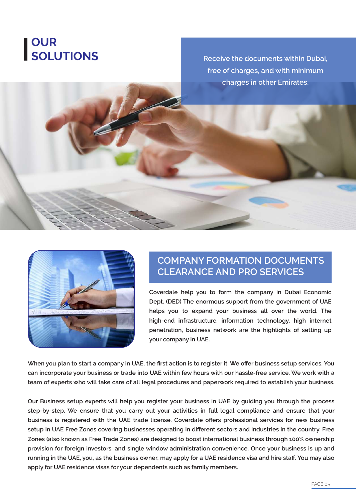# **OUR SOLUTIONS**

**Receive the documents within Dubai, free of charges, and with minimum charges in other Emirates.**



#### **COMPANY FORMATION DOCUMENTS CLEARANCE AND PRO SERVICES**

**Coverdale help you to form the company in Dubai Economic Dept. (DED) The enormous support from the government of UAE helps you to expand your business all over the world. The high-end infrastructure, information technology, high internet penetration, business network are the highlights of setting up your company in UAE.**

**When you plan to start a company in UAE, the first action is to register it. We offer business setup services. You can incorporate your business or trade into UAE within few hours with our hassle-free service. We work with a team of experts who will take care of all legal procedures and paperwork required to establish your business.**

**Our Business setup experts will help you register your business in UAE by guiding you through the process step-by-step. We ensure that you carry out your activities in full legal compliance and ensure that your business is registered with the UAE trade license. Coverdale offers professional services for new business setup in UAE Free Zones covering businesses operating in different sectors and industries in the country. Free Zones (also known as Free Trade Zones) are designed to boost international business through 100% ownership provision for foreign investors, and single window administration convenience. Once your business is up and running in the UAE, you, as the business owner, may apply for a UAE residence visa and hire staff. You may also apply for UAE residence visas for your dependents such as family members.**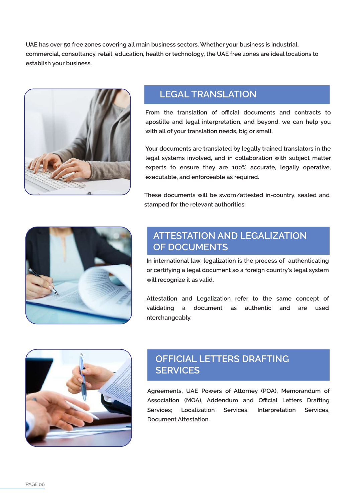**UAE has over 50 free zones covering all main business sectors. Whether your business is industrial, commercial, consultancy, retail, education, health or technology, the UAE free zones are ideal locations to establish your business.**



## **LEGAL TRANSLATION**

**From the translation of official documents and contracts to apostille and legal interpretation, and beyond, we can help you with all of your translation needs, big or small.**

**Your documents are translated by legally trained translators in the legal systems involved, and in collaboration with subject matter experts to ensure they are 100% accurate, legally operative, executable, and enforceable as required.**

**These documents will be sworn/attested in-country, sealed and stamped for the relevant authorities.**



## **ATTESTATION AND LEGALIZATION OF DOCUMENTS**

**In international law, legalization is the process of authenticating or certifying a legal document so a foreign country's legal system will recognize it as valid.**

**Attestation and Legalization refer to the same concept of validating a document as authentic and are used nterchangeably.**



## **OFFICIAL LETTERS DRAFTING SERVICES**

**Agreements, UAE Powers of Attorney (POA), Memorandum of Association (MOA), Addendum and Official Letters Drafting Services; Localization Services, Interpretation Services, Document Attestation.**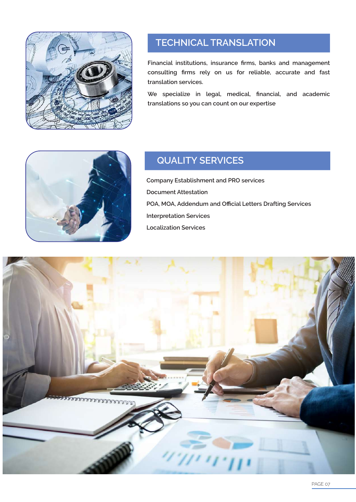

## **TECHNICAL TRANSLATION**

**Financial institutions, insurance firms, banks and management consulting firms rely on us for reliable, accurate and fast translation services.**

**We specialize in legal, medical, financial, and academic translations so you can count on our expertise**



## **QUALITY SERVICES**

**Company Establishment and PRO services Document Attestation POA, MOA, Addendum and Official Letters Drafting Services Interpretation Services Localization Services**